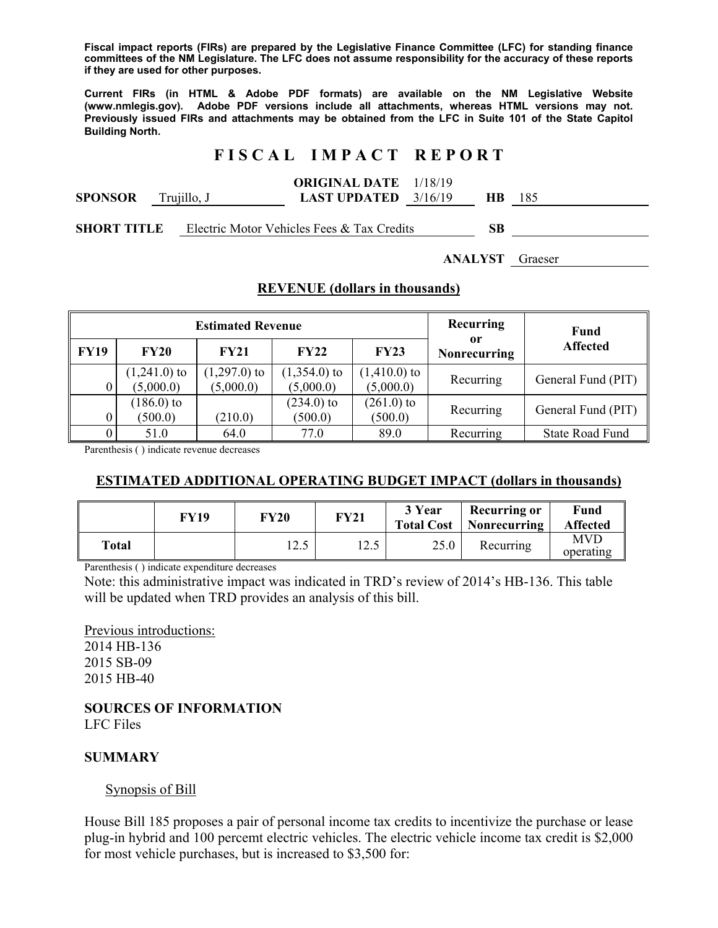**Fiscal impact reports (FIRs) are prepared by the Legislative Finance Committee (LFC) for standing finance committees of the NM Legislature. The LFC does not assume responsibility for the accuracy of these reports if they are used for other purposes.** 

**Current FIRs (in HTML & Adobe PDF formats) are available on the NM Legislative Website (www.nmlegis.gov). Adobe PDF versions include all attachments, whereas HTML versions may not. Previously issued FIRs and attachments may be obtained from the LFC in Suite 101 of the State Capitol Building North.**

### **F I S C A L I M P A C T R E P O R T**

#### **ORIGINAL DATE**  1/18/19

| <b>SPONSOR</b> | rujillo, J | <b>LAST UPDATED</b> $3/16/19$ | HВ |  |
|----------------|------------|-------------------------------|----|--|
|                |            |                               |    |  |

**SHORT TITLE** Electric Motor Vehicles Fees & Tax Credits **SB** 

**ANALYST** Graeser

### **REVENUE (dollars in thousands)**

|             |                             | <b>Estimated Revenue</b>    | <b>Recurring</b>            | Fund                        |                           |                        |  |
|-------------|-----------------------------|-----------------------------|-----------------------------|-----------------------------|---------------------------|------------------------|--|
| <b>FY19</b> | <b>FY20</b>                 | FY21                        | FY22                        | <b>FY23</b>                 | 0r<br><b>Nonrecurring</b> | <b>Affected</b>        |  |
|             | $(1,241.0)$ to<br>(5,000.0) | $(1,297.0)$ to<br>(5,000.0) | $(1,354.0)$ to<br>(5,000.0) | $(1,410.0)$ to<br>(5,000.0) | Recurring                 | General Fund (PIT)     |  |
|             | $(186.0)$ to<br>(500.0)     | (210.0)                     | $(234.0)$ to<br>(500.0)     | $(261.0)$ to<br>(500.0)     | Recurring                 | General Fund (PIT)     |  |
|             | 51.0                        | 64.0                        | 77.0                        | 89.0                        | Recurring                 | <b>State Road Fund</b> |  |

Parenthesis ( ) indicate revenue decreases

## **ESTIMATED ADDITIONAL OPERATING BUDGET IMPACT (dollars in thousands)**

|       | FY19 | FY20           | <b>FY21</b> | 3 Year<br><b>Total Cost</b> | <b>Recurring or</b><br>  Nonrecurring | Fund<br><b>Affected</b> |
|-------|------|----------------|-------------|-----------------------------|---------------------------------------|-------------------------|
| Total |      | 1 ′າ 5<br>12.J | 12.5        | 25.0                        | Recurring                             | <b>MVD</b><br>operating |

Parenthesis ( ) indicate expenditure decreases

Note: this administrative impact was indicated in TRD's review of 2014's HB-136. This table will be updated when TRD provides an analysis of this bill.

Previous introductions: 2014 HB-136 2015 SB-09 2015 HB-40

**SOURCES OF INFORMATION**  LFC Files

### **SUMMARY**

### Synopsis of Bill

House Bill 185 proposes a pair of personal income tax credits to incentivize the purchase or lease plug-in hybrid and 100 percemt electric vehicles. The electric vehicle income tax credit is \$2,000 for most vehicle purchases, but is increased to \$3,500 for: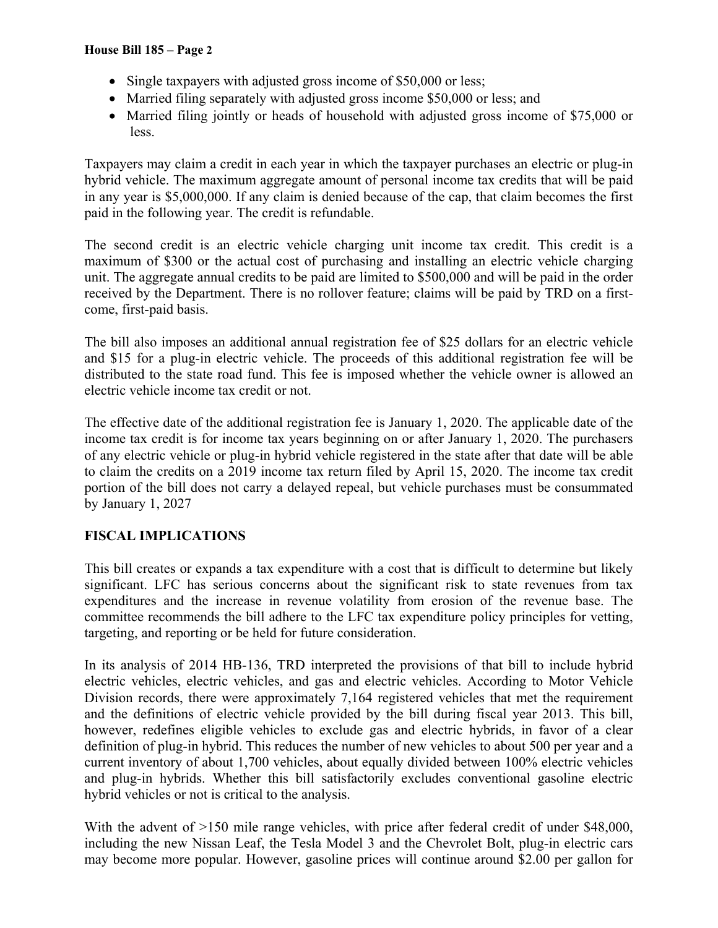- Single taxpayers with adjusted gross income of \$50,000 or less;
- Married filing separately with adjusted gross income \$50,000 or less; and
- Married filing jointly or heads of household with adjusted gross income of \$75,000 or less.

Taxpayers may claim a credit in each year in which the taxpayer purchases an electric or plug-in hybrid vehicle. The maximum aggregate amount of personal income tax credits that will be paid in any year is \$5,000,000. If any claim is denied because of the cap, that claim becomes the first paid in the following year. The credit is refundable.

The second credit is an electric vehicle charging unit income tax credit. This credit is a maximum of \$300 or the actual cost of purchasing and installing an electric vehicle charging unit. The aggregate annual credits to be paid are limited to \$500,000 and will be paid in the order received by the Department. There is no rollover feature; claims will be paid by TRD on a firstcome, first-paid basis.

The bill also imposes an additional annual registration fee of \$25 dollars for an electric vehicle and \$15 for a plug-in electric vehicle. The proceeds of this additional registration fee will be distributed to the state road fund. This fee is imposed whether the vehicle owner is allowed an electric vehicle income tax credit or not.

The effective date of the additional registration fee is January 1, 2020. The applicable date of the income tax credit is for income tax years beginning on or after January 1, 2020. The purchasers of any electric vehicle or plug-in hybrid vehicle registered in the state after that date will be able to claim the credits on a 2019 income tax return filed by April 15, 2020. The income tax credit portion of the bill does not carry a delayed repeal, but vehicle purchases must be consummated by January 1, 2027

# **FISCAL IMPLICATIONS**

This bill creates or expands a tax expenditure with a cost that is difficult to determine but likely significant. LFC has serious concerns about the significant risk to state revenues from tax expenditures and the increase in revenue volatility from erosion of the revenue base. The committee recommends the bill adhere to the LFC tax expenditure policy principles for vetting, targeting, and reporting or be held for future consideration.

In its analysis of 2014 HB-136, TRD interpreted the provisions of that bill to include hybrid electric vehicles, electric vehicles, and gas and electric vehicles. According to Motor Vehicle Division records, there were approximately 7,164 registered vehicles that met the requirement and the definitions of electric vehicle provided by the bill during fiscal year 2013. This bill, however, redefines eligible vehicles to exclude gas and electric hybrids, in favor of a clear definition of plug-in hybrid. This reduces the number of new vehicles to about 500 per year and a current inventory of about 1,700 vehicles, about equally divided between 100% electric vehicles and plug-in hybrids. Whether this bill satisfactorily excludes conventional gasoline electric hybrid vehicles or not is critical to the analysis.

With the advent of  $>150$  mile range vehicles, with price after federal credit of under \$48,000, including the new Nissan Leaf, the Tesla Model 3 and the Chevrolet Bolt, plug-in electric cars may become more popular. However, gasoline prices will continue around \$2.00 per gallon for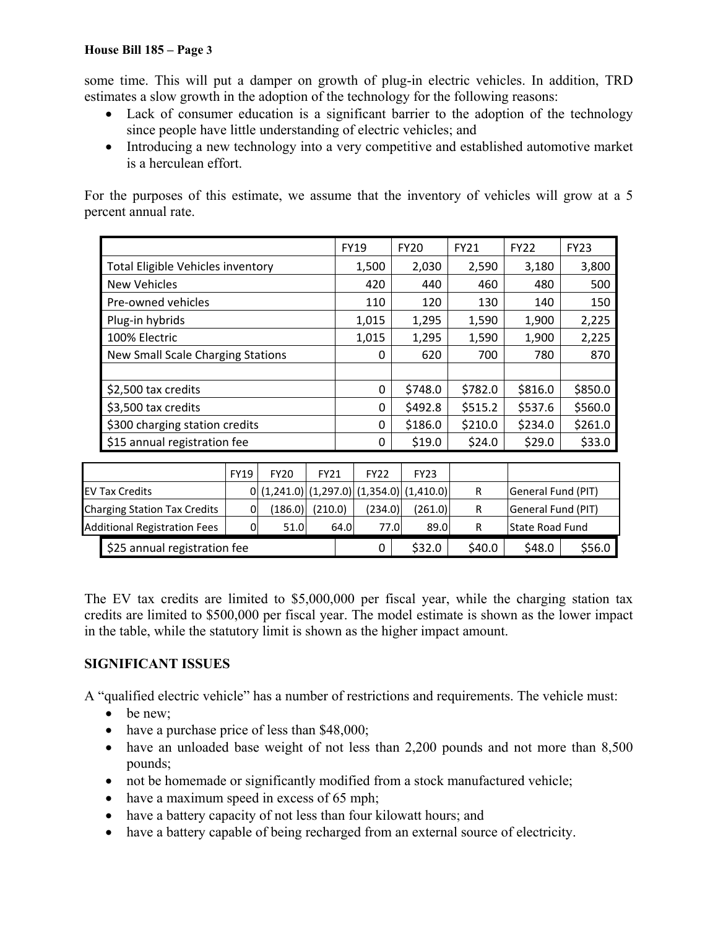some time. This will put a damper on growth of plug-in electric vehicles. In addition, TRD estimates a slow growth in the adoption of the technology for the following reasons:

- Lack of consumer education is a significant barrier to the adoption of the technology since people have little understanding of electric vehicles; and
- Introducing a new technology into a very competitive and established automotive market is a herculean effort.

For the purposes of this estimate, we assume that the inventory of vehicles will grow at a 5 percent annual rate.

|                                          |             |             |             | <b>FY19</b> |             | <b>FY20</b> | <b>FY21</b> | <b>FY22</b>        | <b>FY23</b> |
|------------------------------------------|-------------|-------------|-------------|-------------|-------------|-------------|-------------|--------------------|-------------|
| Total Eligible Vehicles inventory        |             |             |             |             | 1,500       | 2,030       | 2,590       | 3,180              | 3,800       |
| <b>New Vehicles</b>                      |             |             |             |             | 420         | 440         | 460         | 480                | 500         |
| Pre-owned vehicles                       |             |             |             |             | 110         | 120         | 130         | 140                | 150         |
| Plug-in hybrids                          |             |             |             |             | 1,015       | 1,295       | 1,590       | 1,900              | 2,225       |
| 100% Electric                            |             |             |             |             | 1,015       | 1,295       | 1,590       | 1,900              | 2,225       |
| <b>New Small Scale Charging Stations</b> |             |             |             |             | 0           | 620         | 700         | 780                | 870         |
|                                          |             |             |             |             |             |             |             |                    |             |
| \$2,500 tax credits                      |             |             |             |             | 0           | \$748.0     | \$782.0     | \$816.0            | \$850.0     |
| \$3,500 tax credits                      |             |             |             |             | 0           | \$492.8     | \$515.2     | \$537.6            | \$560.0     |
| \$300 charging station credits           |             |             |             |             | 0           | \$186.0     | \$210.0     | \$234.0            | \$261.0     |
| \$15 annual registration fee             |             |             |             |             | 0           | \$19.0      | \$24.0      | \$29.0             | \$33.0      |
|                                          |             |             |             |             |             |             |             |                    |             |
|                                          | <b>FY19</b> | <b>FY20</b> | <b>FY21</b> |             | <b>FY22</b> | <b>FY23</b> |             |                    |             |
| <b>EV Tax Credits</b>                    | 0           | (1,241.0)   | (1,297.0)   |             | (1,354.0)   | (1,410.0)   | R           | General Fund (PIT) |             |
| <b>Charging Station Tax Credits</b>      | 0           | (186.0)     | (210.0)     |             | (234.0)     | (261.0)     | R           | General Fund (PIT) |             |
| <b>Additional Registration Fees</b>      | 0           | 51.0        |             | 64.0        | 77.0        | 89.0        | R           | State Road Fund    |             |
| \$25 annual registration fee             |             |             |             |             | 0           | \$32.0      | \$40.0      | \$48.0             | \$56.0      |

The EV tax credits are limited to \$5,000,000 per fiscal year, while the charging station tax credits are limited to \$500,000 per fiscal year. The model estimate is shown as the lower impact in the table, while the statutory limit is shown as the higher impact amount.

## **SIGNIFICANT ISSUES**

A "qualified electric vehicle" has a number of restrictions and requirements. The vehicle must:

- $\bullet$  be new;
- have a purchase price of less than \$48,000;
- have an unloaded base weight of not less than 2,200 pounds and not more than 8,500 pounds;
- not be homemade or significantly modified from a stock manufactured vehicle;
- have a maximum speed in excess of 65 mph;
- have a battery capacity of not less than four kilowatt hours; and
- have a battery capable of being recharged from an external source of electricity.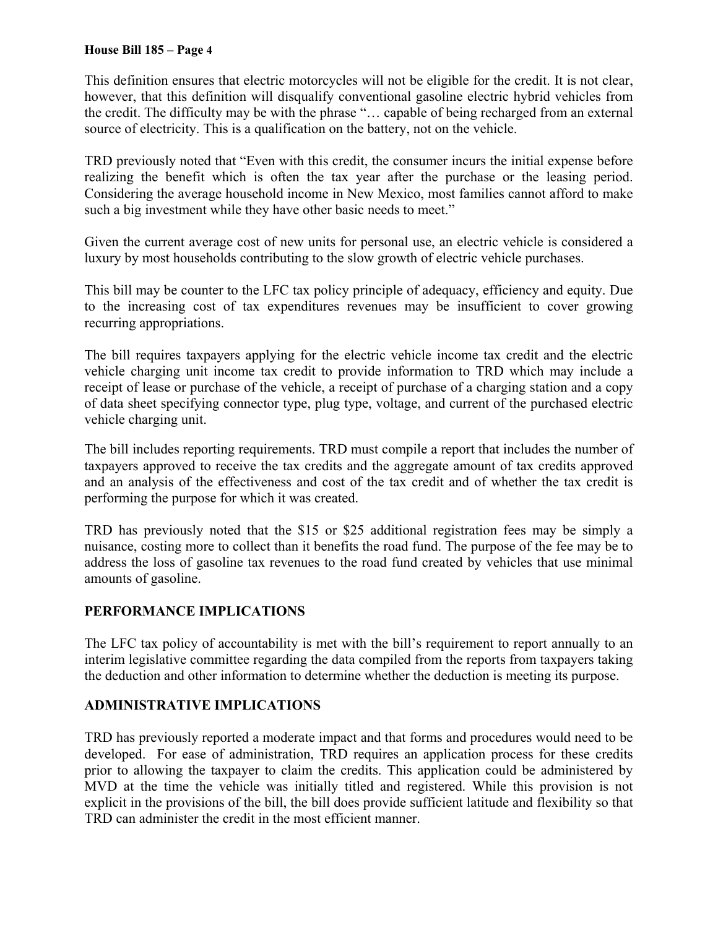This definition ensures that electric motorcycles will not be eligible for the credit. It is not clear, however, that this definition will disqualify conventional gasoline electric hybrid vehicles from the credit. The difficulty may be with the phrase "… capable of being recharged from an external source of electricity. This is a qualification on the battery, not on the vehicle.

TRD previously noted that "Even with this credit, the consumer incurs the initial expense before realizing the benefit which is often the tax year after the purchase or the leasing period. Considering the average household income in New Mexico, most families cannot afford to make such a big investment while they have other basic needs to meet."

Given the current average cost of new units for personal use, an electric vehicle is considered a luxury by most households contributing to the slow growth of electric vehicle purchases.

This bill may be counter to the LFC tax policy principle of adequacy, efficiency and equity. Due to the increasing cost of tax expenditures revenues may be insufficient to cover growing recurring appropriations.

The bill requires taxpayers applying for the electric vehicle income tax credit and the electric vehicle charging unit income tax credit to provide information to TRD which may include a receipt of lease or purchase of the vehicle, a receipt of purchase of a charging station and a copy of data sheet specifying connector type, plug type, voltage, and current of the purchased electric vehicle charging unit.

The bill includes reporting requirements. TRD must compile a report that includes the number of taxpayers approved to receive the tax credits and the aggregate amount of tax credits approved and an analysis of the effectiveness and cost of the tax credit and of whether the tax credit is performing the purpose for which it was created.

TRD has previously noted that the \$15 or \$25 additional registration fees may be simply a nuisance, costing more to collect than it benefits the road fund. The purpose of the fee may be to address the loss of gasoline tax revenues to the road fund created by vehicles that use minimal amounts of gasoline.

## **PERFORMANCE IMPLICATIONS**

The LFC tax policy of accountability is met with the bill's requirement to report annually to an interim legislative committee regarding the data compiled from the reports from taxpayers taking the deduction and other information to determine whether the deduction is meeting its purpose.

## **ADMINISTRATIVE IMPLICATIONS**

TRD has previously reported a moderate impact and that forms and procedures would need to be developed. For ease of administration, TRD requires an application process for these credits prior to allowing the taxpayer to claim the credits. This application could be administered by MVD at the time the vehicle was initially titled and registered. While this provision is not explicit in the provisions of the bill, the bill does provide sufficient latitude and flexibility so that TRD can administer the credit in the most efficient manner.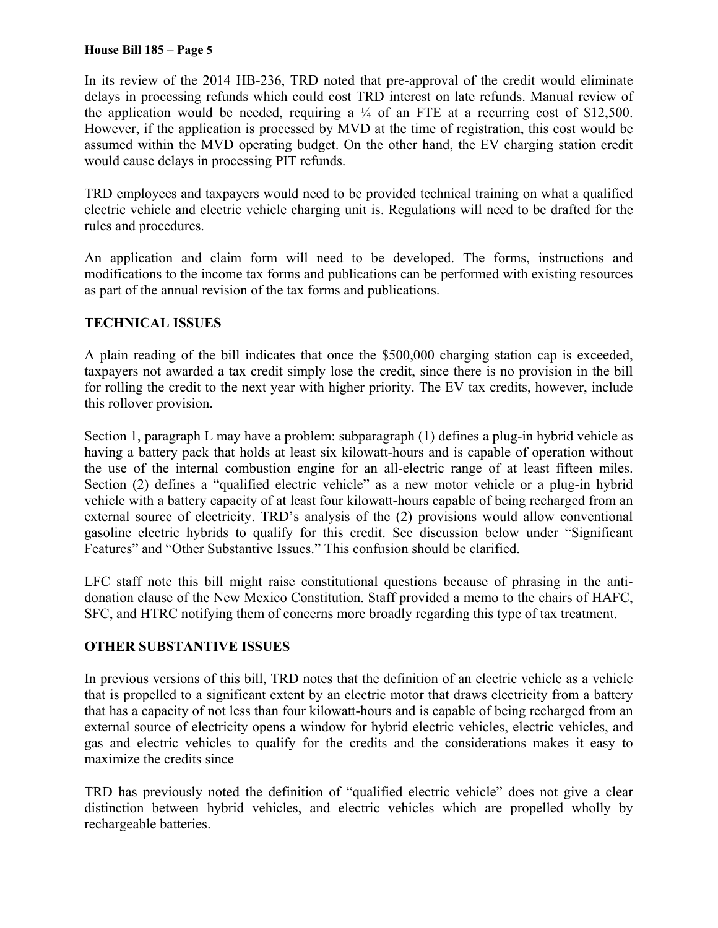In its review of the 2014 HB-236, TRD noted that pre-approval of the credit would eliminate delays in processing refunds which could cost TRD interest on late refunds. Manual review of the application would be needed, requiring a  $\frac{1}{4}$  of an FTE at a recurring cost of \$12,500. However, if the application is processed by MVD at the time of registration, this cost would be assumed within the MVD operating budget. On the other hand, the EV charging station credit would cause delays in processing PIT refunds.

TRD employees and taxpayers would need to be provided technical training on what a qualified electric vehicle and electric vehicle charging unit is. Regulations will need to be drafted for the rules and procedures.

An application and claim form will need to be developed. The forms, instructions and modifications to the income tax forms and publications can be performed with existing resources as part of the annual revision of the tax forms and publications.

## **TECHNICAL ISSUES**

A plain reading of the bill indicates that once the \$500,000 charging station cap is exceeded, taxpayers not awarded a tax credit simply lose the credit, since there is no provision in the bill for rolling the credit to the next year with higher priority. The EV tax credits, however, include this rollover provision.

Section 1, paragraph L may have a problem: subparagraph (1) defines a plug-in hybrid vehicle as having a battery pack that holds at least six kilowatt-hours and is capable of operation without the use of the internal combustion engine for an all-electric range of at least fifteen miles. Section (2) defines a "qualified electric vehicle" as a new motor vehicle or a plug-in hybrid vehicle with a battery capacity of at least four kilowatt-hours capable of being recharged from an external source of electricity. TRD's analysis of the (2) provisions would allow conventional gasoline electric hybrids to qualify for this credit. See discussion below under "Significant Features" and "Other Substantive Issues." This confusion should be clarified.

LFC staff note this bill might raise constitutional questions because of phrasing in the antidonation clause of the New Mexico Constitution. Staff provided a memo to the chairs of HAFC, SFC, and HTRC notifying them of concerns more broadly regarding this type of tax treatment.

## **OTHER SUBSTANTIVE ISSUES**

In previous versions of this bill, TRD notes that the definition of an electric vehicle as a vehicle that is propelled to a significant extent by an electric motor that draws electricity from a battery that has a capacity of not less than four kilowatt-hours and is capable of being recharged from an external source of electricity opens a window for hybrid electric vehicles, electric vehicles, and gas and electric vehicles to qualify for the credits and the considerations makes it easy to maximize the credits since

TRD has previously noted the definition of "qualified electric vehicle" does not give a clear distinction between hybrid vehicles, and electric vehicles which are propelled wholly by rechargeable batteries.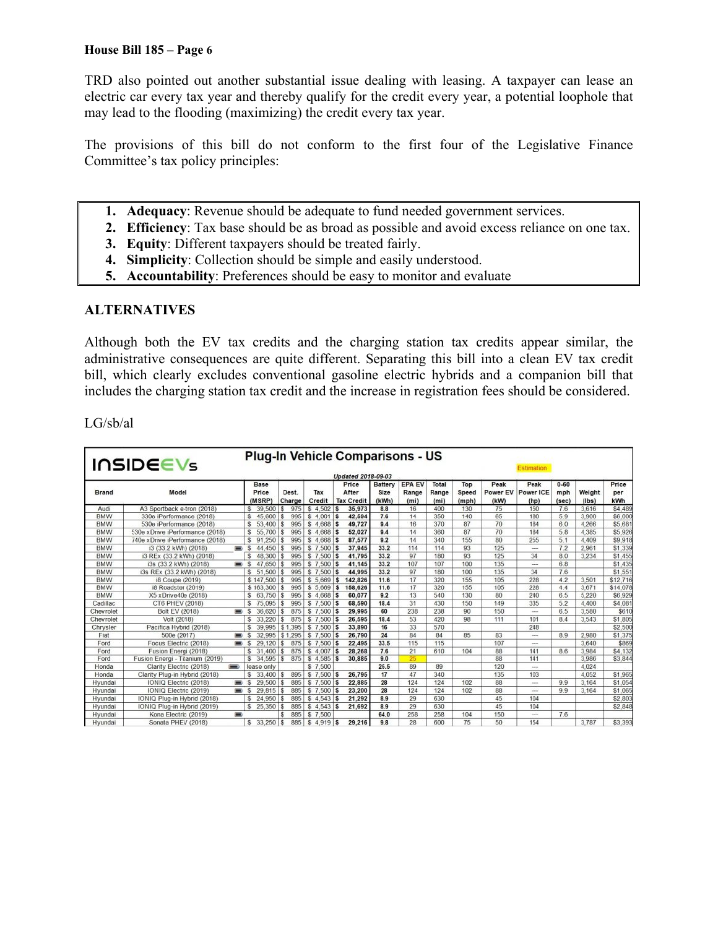TRD also pointed out another substantial issue dealing with leasing. A taxpayer can lease an electric car every tax year and thereby qualify for the credit every year, a potential loophole that may lead to the flooding (maximizing) the credit every tax year.

The provisions of this bill do not conform to the first four of the Legislative Finance Committee's tax policy principles:

- **1. Adequacy**: Revenue should be adequate to fund needed government services.
- **2. Efficiency**: Tax base should be as broad as possible and avoid excess reliance on one tax.
- **3. Equity**: Different taxpayers should be treated fairly.
- **4. Simplicity**: Collection should be simple and easily understood.
- **5. Accountability**: Preferences should be easy to monitor and evaluate

### **ALTERNATIVES**

Although both the EV tax credits and the charging station tax credits appear similar, the administrative consequences are quite different. Separating this bill into a clean EV tax credit bill, which clearly excludes conventional gasoline electric hybrids and a companion bill that includes the charging station tax credit and the increase in registration fees should be considered.

LG/sb/al

| Plug-In Vehicle Comparisons - US<br><b>INSIDEEVS</b><br>Estimation<br><b>Updated 2018-09-03</b> |                                  |                |                                |                 |                  |                                     |                          |                                             |                        |                       |                          |                           |                          |                 |                     |
|-------------------------------------------------------------------------------------------------|----------------------------------|----------------|--------------------------------|-----------------|------------------|-------------------------------------|--------------------------|---------------------------------------------|------------------------|-----------------------|--------------------------|---------------------------|--------------------------|-----------------|---------------------|
| <b>Brand</b>                                                                                    | Model                            |                | <b>Base</b><br>Price<br>(MSRP) | Dest.<br>Charge | Tax<br>Credit    | Price<br>After<br><b>Tax Credit</b> | Battery<br>Size<br>(kWh) | <b>EPA EV</b><br>Range<br>(m <sub>i</sub> ) | Total<br>Range<br>(mi) | Top<br>Speed<br>(mph) | Peak<br>Power EV<br>(kW) | Peak<br>Power ICE<br>(hp) | $0 - 60$<br>mph<br>(sec) | Weight<br>(lbs) | Price<br>per<br>kWh |
| Audi                                                                                            | A3 Sportback e-tron (2018)       |                | 39.500<br>s                    | 975             | 4.502<br>s       | 35,973<br>s                         | 8.8                      | 16                                          | 400                    | 130                   | 75                       | 150                       | 7.6                      | 3.616           | \$4,489             |
| <b>BMW</b>                                                                                      | 330e iPerformance (2018)         |                | 45.600<br>s                    | 995             | $4.001$ \$<br>s  | 42,594                              | 7.6                      | 14                                          | 350                    | 140                   | 65                       | 180                       | 5.9                      | 3.900           | \$6,000             |
| <b>BMW</b>                                                                                      | 530e iPerformance (2018)         |                | 53.400<br>\$                   | 995<br>\$       | $4.668$ \$<br>\$ | 49,727                              | 9.4                      | 16                                          | 370                    | 87                    | 70                       | 184                       | 6.0                      | 4.266           | \$5,681             |
| <b>BMW</b>                                                                                      | 530e x Drive iPerformance (2018) |                | 55,700<br>s                    | 995<br>S.       | $$4.668$ \$      | 52,027                              | 9.4                      | 14                                          | 360                    | 87                    | 70                       | 184                       | 5.8                      | 4.385           | \$5,926             |
| <b>BMW</b>                                                                                      | 740e x Drive iPerformance (2018) |                | 91.250<br>s                    | 995             | $4.668$ \$       | 87,577                              | 9.2                      | 14                                          | 340                    | 155                   | 80                       | 255                       | 5.1                      | 4.409           | \$9,918             |
| <b>BMW</b>                                                                                      | i3 (33.2 kWh) (2018)             | $\equiv$       | $44.450$ \$                    | 995             | $$7.500$ \$      | 37,945                              | 33.2                     | 114                                         | 114                    | 93                    | 125                      | $\overline{\phantom{a}}$  | 7.2                      | 2.961           | \$1,339             |
| <b>BMW</b>                                                                                      | i3 REx (33.2 kWh) (2018)         |                | 48.300<br>s                    | 995<br>S.       | $$7,500$ \$      | 41,795                              | 33.2                     | 97                                          | 180                    | 93                    | 125                      | 34                        | 8.0                      | 3.234           | \$1,455             |
| <b>BMW</b>                                                                                      | i3s (33.2 kWh) (2018)            | $\equiv$ \$    | 47.650                         | 995<br>s        | $$7,500$ $$$     | 41,145                              | 33.2                     | 107                                         | 107                    | 100                   | 135                      | ---                       | 6.8                      |                 | \$1,435             |
| <b>BMW</b>                                                                                      | i3s REx (33.2 kWh) (2018)        |                | 51.500<br>\$                   | 995<br>s        | $$7,500$ $$$     | 44,995                              | 33.2                     | 97                                          | 180                    | 100                   | 135                      | 34                        | 7.6                      |                 | \$1,551             |
| <b>BMW</b>                                                                                      | i8 Coupe (2019)                  |                | \$147,500                      | 995             | \$5,669          | 142,826<br>s                        | 11.6                     | 17                                          | 320                    | 155                   | 105                      | 228                       | 4.2                      | 3,501           | \$12,716            |
| <b>BMW</b>                                                                                      | i8 Roadster (2019)               |                | \$163,300                      | 995<br>\$       | \$5.669          | 158,626<br>s                        | 11.6                     | 17                                          | 320                    | 155                   | 105                      | 228                       | 4.4                      | 3671            | \$14.078            |
| <b>BMW</b>                                                                                      | X5 x Drive40e (2018)             |                | 63,750<br>\$.                  | 995             | $$4.668$ \$      | 60.077                              | 9.2                      | 13                                          | 540                    | 130                   | 80                       | 240                       | 6.5                      | 5.220           | \$6,929             |
| Cadillac                                                                                        | CT6 PHEV (2018)                  |                | \$<br>75.095                   | 995<br>\$       | $7,500$ \$<br>s  | 68,590                              | 18.4                     | 31                                          | 430                    | 150                   | 149                      | 335                       | 5.2                      | 4.400           | \$4,081             |
| Chevrolet                                                                                       | Bolt EV (2018)                   | $\blacksquare$ | 36.620<br><sub>S</sub>         | 875             | $7,500$ \$<br>s. | 29,995                              | 60                       | 238                                         | 238                    | 90                    | 150                      | $\overline{a}$            | 6.5                      | 3.580           | \$610               |
| Chevrolet                                                                                       | Volt (2018)                      |                | 33.220<br>s                    | 875             | $$7.500$ \$      | 26,595                              | 18.4                     | 53                                          | 420                    | 98                    | 111                      | 101                       | 8.4                      | 3.543           | \$1,805             |
| Chrysler                                                                                        | Pacifica Hybrid (2018)           |                | \$<br>39.995                   | \$1,395         | $$7,500$ \$      | 33,890                              | 16                       | 33                                          | 570                    |                       |                          | 248                       |                          |                 | \$2,500             |
| Fiat                                                                                            | 500e (2017)                      | $\equiv$ s     | 32.995                         | \$1,295         | $$7,500$ \$      | 26,790                              | 24                       | 84                                          | 84                     | 85                    | 83                       | $\overline{\phantom{a}}$  | 8.9                      | 2.980           | \$1,375             |
| Ford                                                                                            | Focus Electric (2018)            | $\equiv$ \$    | 29.120                         | 875<br>s.       | $$7,500$ \$      | 22,495                              | 33.5                     | 115                                         | 115                    |                       | 107                      | $\overline{\phantom{a}}$  |                          | 3.640           | \$869               |
| Ford                                                                                            | Fusion Energi (2018)             |                | 31.400                         | 875<br>s.       | $$4.007$ \$      | 28,268                              | 7.6                      | 21                                          | 610                    | 104                   | 88                       | 141                       | 86                       | 3.984           | \$4,132             |
| Ford                                                                                            | Fusion Energi - Titanium (2019)  |                | \$ 34.595                      | 875<br>Ŝ.       | $$4.585$ \$      | 30,885                              | 9.0                      | 25                                          |                        |                       | 88                       | 141                       |                          | 3.986           | \$3.844             |
| Honda                                                                                           | Clarity Electric (2018)          | $\equiv$       | lease only                     |                 | \$7.500          |                                     | 25.5                     | 89                                          | 89                     |                       | 120                      | sin a                     |                          | 4.024           |                     |
| Honda                                                                                           | Clarity Plug-in Hybrid (2018)    |                | 33.400<br>\$                   | 895             | $$7.500$ $$$     | 26,795                              | 17                       | 47                                          | 340                    |                       | 135                      | 103                       |                          | 4.052           | \$1,965             |
| Hvundai                                                                                         | IONIQ Electric (2018)            | $\equiv$ s     | $29.500$ \$                    | 885             | $$7,500$ \$      | 22,885                              | 28                       | 124                                         | 124                    | 102                   | 88                       | $\sim$                    | 99                       | 3.164           | \$1,054             |
| Hyundai                                                                                         | IONIQ Electric (2019)            | $\equiv$ s     | $29.815$ \$                    | 885             | $$7,500$ \$      | 23,200                              | 28                       | 124                                         | 124                    | 102                   | 88                       | $-$                       | 99                       | 3.164           | \$1,065             |
| Hyundai                                                                                         | IONIQ Plug-in Hybrid (2018)      |                | s<br>24.950                    | 885<br>s        | $$4.543$ \$      | 21,292                              | 8.9                      | 29                                          | 630                    |                       | 45                       | 104                       |                          |                 | \$2,803             |
| Hyundai                                                                                         | IONIQ Plug-in Hybrid (2019)      |                | 25,350<br>s                    | 885<br>\$       | $$4.543$ \$      | 21,692                              | 8.9                      | 29                                          | 630                    |                       | 45                       | 104                       |                          |                 | \$2,848             |
| Hyundai                                                                                         | Kona Electric (2019)             | ▬              |                                | 885             | \$7,500          |                                     | 64.0                     | 258                                         | 258                    | 104                   | 150                      | ---                       | 7.6                      |                 |                     |
| Hyundai                                                                                         | Sonata PHEV (2018)               |                | $33.250$ \$<br>s.              | 885             | s.<br>4.919      | 29.216<br>'S                        | 9.8                      | 28                                          | 600                    | 75                    | 50                       | 154                       |                          | 3.787           | \$3,393             |